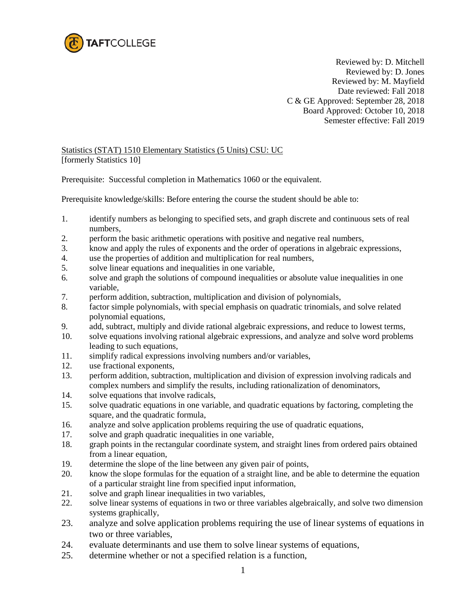

Reviewed by: D. Mitchell Reviewed by: D. Jones Reviewed by: M. Mayfield Date reviewed: Fall 2018 C & GE Approved: September 28, 2018 Board Approved: October 10, 2018 Semester effective: Fall 2019

## Statistics (STAT) 1510 Elementary Statistics (5 Units) CSU: UC [formerly Statistics 10]

Prerequisite: Successful completion in Mathematics 1060 or the equivalent.

Prerequisite knowledge/skills: Before entering the course the student should be able to:

- 1. identify numbers as belonging to specified sets, and graph discrete and continuous sets of real numbers,
- 2. perform the basic arithmetic operations with positive and negative real numbers,
- 3. know and apply the rules of exponents and the order of operations in algebraic expressions,
- 4. use the properties of addition and multiplication for real numbers,
- 5. solve linear equations and inequalities in one variable,
- 6. solve and graph the solutions of compound inequalities or absolute value inequalities in one variable,
- 7. perform addition, subtraction, multiplication and division of polynomials,
- 8. factor simple polynomials, with special emphasis on quadratic trinomials, and solve related polynomial equations,
- 9. add, subtract, multiply and divide rational algebraic expressions, and reduce to lowest terms,
- 10. solve equations involving rational algebraic expressions, and analyze and solve word problems leading to such equations,
- 11. simplify radical expressions involving numbers and/or variables,
- 12. use fractional exponents,
- 13. perform addition, subtraction, multiplication and division of expression involving radicals and complex numbers and simplify the results, including rationalization of denominators,
- 14. solve equations that involve radicals,
- 15. solve quadratic equations in one variable, and quadratic equations by factoring, completing the square, and the quadratic formula,
- 16. analyze and solve application problems requiring the use of quadratic equations,
- 17. solve and graph quadratic inequalities in one variable,
- 18. graph points in the rectangular coordinate system, and straight lines from ordered pairs obtained from a linear equation,
- 19. determine the slope of the line between any given pair of points,
- 20. know the slope formulas for the equation of a straight line, and be able to determine the equation of a particular straight line from specified input information,
- 21. solve and graph linear inequalities in two variables,
- 22. solve linear systems of equations in two or three variables algebraically, and solve two dimension systems graphically,
- 23. analyze and solve application problems requiring the use of linear systems of equations in two or three variables,
- 24. evaluate determinants and use them to solve linear systems of equations,
- 25. determine whether or not a specified relation is a function,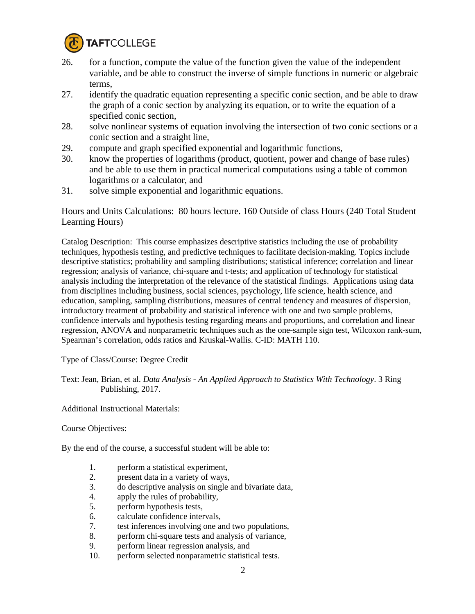

- 26. for a function, compute the value of the function given the value of the independent variable, and be able to construct the inverse of simple functions in numeric or algebraic terms,
- 27. identify the quadratic equation representing a specific conic section, and be able to draw the graph of a conic section by analyzing its equation, or to write the equation of a specified conic section,
- 28. solve nonlinear systems of equation involving the intersection of two conic sections or a conic section and a straight line,
- 29. compute and graph specified exponential and logarithmic functions,
- 30. know the properties of logarithms (product, quotient, power and change of base rules) and be able to use them in practical numerical computations using a table of common logarithms or a calculator, and
- 31. solve simple exponential and logarithmic equations.

Hours and Units Calculations: 80 hours lecture. 160 Outside of class Hours (240 Total Student Learning Hours)

Catalog Description: This course emphasizes descriptive statistics including the use of probability techniques, hypothesis testing, and predictive techniques to facilitate decision-making. Topics include descriptive statistics; probability and sampling distributions; statistical inference; correlation and linear regression; analysis of variance, chi-square and t-tests; and application of technology for statistical analysis including the interpretation of the relevance of the statistical findings. Applications using data from disciplines including business, social sciences, psychology, life science, health science, and education, sampling, sampling distributions, measures of central tendency and measures of dispersion, introductory treatment of probability and statistical inference with one and two sample problems, confidence intervals and hypothesis testing regarding means and proportions, and correlation and linear regression, ANOVA and nonparametric techniques such as the one-sample sign test, Wilcoxon rank-sum, Spearman's correlation, odds ratios and Kruskal-Wallis. C-ID: MATH 110.

Type of Class/Course: Degree Credit

Text: Jean, Brian, et al. *Data Analysis - An Applied Approach to Statistics With Technology*. 3 Ring Publishing, 2017.

Additional Instructional Materials:

Course Objectives:

By the end of the course, a successful student will be able to:

- 1. perform a statistical experiment,
- 2. present data in a variety of ways,<br>3. do descriptive analysis on single a
- 3. do descriptive analysis on single and bivariate data,
- 4. apply the rules of probability,
- 5. perform hypothesis tests,
- 6. calculate confidence intervals,
- 7. test inferences involving one and two populations,
- 8. perform chi-square tests and analysis of variance,
- 9. perform linear regression analysis, and
- 10. perform selected nonparametric statistical tests.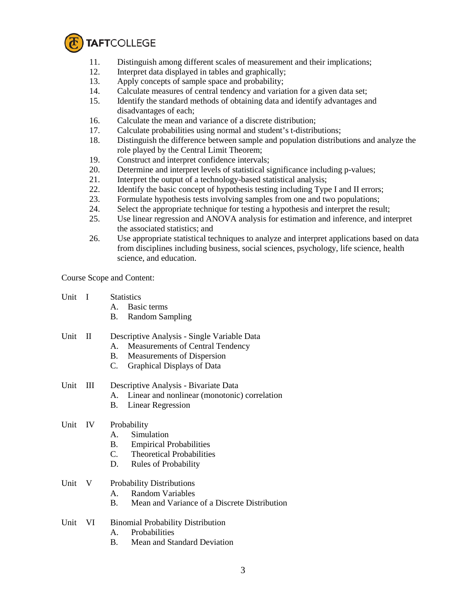

- 11. Distinguish among different scales of measurement and their implications;
- 12. Interpret data displayed in tables and graphically;
- 13. Apply concepts of sample space and probability;
- 14. Calculate measures of central tendency and variation for a given data set;
- 15. Identify the standard methods of obtaining data and identify advantages and disadvantages of each;
- 16. Calculate the mean and variance of a discrete distribution;
- 17. Calculate probabilities using normal and student's t-distributions;
- 18. Distinguish the difference between sample and population distributions and analyze the role played by the Central Limit Theorem;
- 19. Construct and interpret confidence intervals;
- 20. Determine and interpret levels of statistical significance including p-values;
- 21. Interpret the output of a technology-based statistical analysis;
- 22. Identify the basic concept of hypothesis testing including Type I and II errors;
- 23. Formulate hypothesis tests involving samples from one and two populations;
- 24. Select the appropriate technique for testing a hypothesis and interpret the result;
- 25. Use linear regression and ANOVA analysis for estimation and inference, and interpret the associated statistics; and
- 26. Use appropriate statistical techniques to analyze and interpret applications based on data from disciplines including business, social sciences, psychology, life science, health science, and education.

Course Scope and Content:

| Unit | $\blacksquare$ | <b>Statistics</b><br>Basic terms<br>A.<br><b>Random Sampling</b><br><b>B</b> .                                                                             |
|------|----------------|------------------------------------------------------------------------------------------------------------------------------------------------------------|
| Unit | $\mathbf H$    | Descriptive Analysis - Single Variable Data<br>Measurements of Central Tendency<br>A.<br>B. Measurements of Dispersion<br>Graphical Displays of Data<br>C. |
| Unit | Ш              | Descriptive Analysis - Bivariate Data<br>Linear and nonlinear (monotonic) correlation<br>A.<br><b>Linear Regression</b><br>В.                              |
| Unit | - IV           | Probability<br>Simulation<br>A.<br><b>B.</b> Empirical Probabilities<br>C. Theoretical Probabilities<br>D.<br>Rules of Probability                         |
| Unit | V              | <b>Probability Distributions</b><br><b>Random Variables</b><br>$\mathbf{A}$<br>Mean and Variance of a Discrete Distribution<br><b>B.</b>                   |
| Unit | VI             | <b>Binomial Probability Distribution</b><br>Probabilities<br>$A_{\cdot}$<br>Mean and Standard Deviation<br>В.                                              |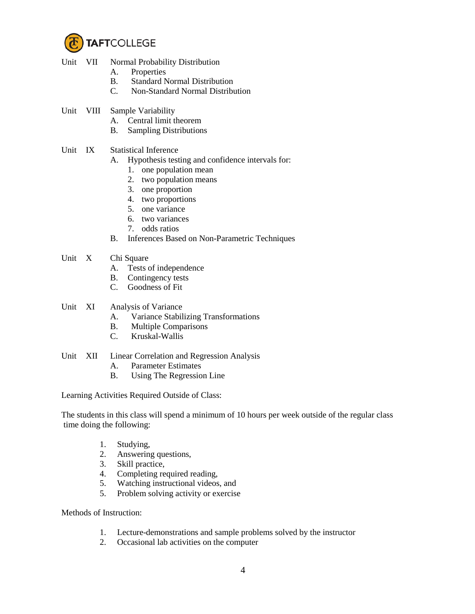

- Unit VII Normal Probability Distribution
	- A. Properties
	- B. Standard Normal Distribution
	- C. Non-Standard Normal Distribution
- Unit VIII Sample Variability
	- A. Central limit theorem
	- B. Sampling Distributions
- Unit IX Statistical Inference
	- A. Hypothesis testing and confidence intervals for:
		- 1. one population mean
		- 2. two population means
		- 3. one proportion
		- 4. two proportions
		- 5. one variance
		- 6. two variances
		- 7. odds ratios
	- B. Inferences Based on Non-Parametric Techniques
- Unit X Chi Square
	- A. Tests of independence
	- B. Contingency tests
	- C. Goodness of Fit
- Unit XI Analysis of Variance
	- A. Variance Stabilizing Transformations
	- B. Multiple Comparisons
	- C. Kruskal-Wallis

## Unit XII Linear Correlation and Regression Analysis

- A. Parameter Estimates
- B. Using The Regression Line

Learning Activities Required Outside of Class:

The students in this class will spend a minimum of 10 hours per week outside of the regular class time doing the following:

- 1. Studying,
- 2. Answering questions,
- 3. Skill practice,
- 4. Completing required reading,
- 5. Watching instructional videos, and
- 5. Problem solving activity or exercise

Methods of Instruction:

- 1. Lecture-demonstrations and sample problems solved by the instructor
- 2. Occasional lab activities on the computer